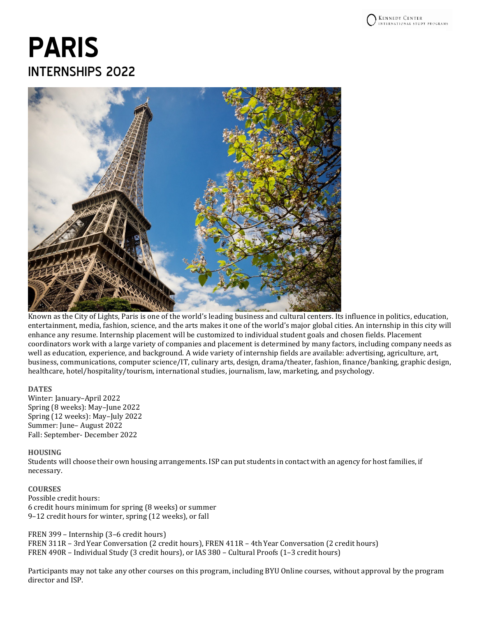# **PARIS** INTERNSHIPS 2022



Known as the City of Lights, Paris is one of the world's leading business and cultural centers. Its influence in politics, education, entertainment, media, fashion, science, and the arts makes it one of the world's major global cities. An internship in this city will enhance any resume. Internship placement will be customized to individual student goals and chosen fields. Placement coordinators work with a large variety of companies and placement is determined by many factors, including company needs as well as education, experience, and background. A wide variety of internship fields are available: advertising, agriculture, art, business, communications, computer science/IT, culinary arts, design, drama/theater, fashion, finance/banking, graphic design, healthcare, hotel/hospitality/tourism, international studies, journalism, law, marketing, and psychology.

## **DATES**

Winter: January–April 2022 Spring (8 weeks): May–June 2022 Spring (12 weeks): May–July 2022 Summer: June– August 2022 Fall: September- December 2022

## **HOUSING**

Students will choose their own housing arrangements. ISP can put students in contact with an agency for host families, if necessary.

## **COURSES**

Possible credit hours: 6 credit hours minimum for spring (8 weeks) or summer 9–12 credit hours for winter, spring (12 weeks), or fall

FREN 399 – Internship (3–6 credit hours) FREN 311R – 3rdYear Conversation (2 credit hours), FREN 411R – 4th Year Conversation (2 credit hours) FREN 490R – Individual Study (3 credit hours), or IAS 380 – Cultural Proofs (1–3 credit hours)

Participants may not take any other courses on this program, including BYU Online courses, without approval by the program director and ISP.